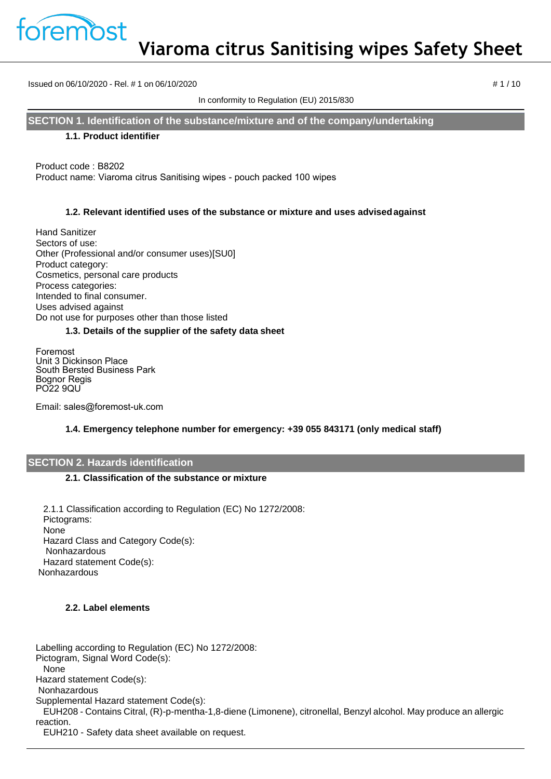

Issued on 06/10/2020 - Rel. # 1 on 06/10/2020 **# 1 / 10**  $\neq$  1 / 10

In conformity to Regulation (EU) 2015/830

**SECTION 1. Identification of the substance/mixture and of the company/undertaking**

### **1.1. Product identifier**

Product code : B8202 Product name: Viaroma citrus Sanitising wipes - pouch packed 100 wipes

### **1.2. Relevant identified uses of the substance or mixture and uses advisedagainst**

Hand Sanitizer Sectors of use: Other (Professional and/or consumer uses)[SU0] Product category: Cosmetics, personal care products Process categories: Intended to final consumer. Uses advised against Do not use for purposes other than those listed

### **1.3. Details of the supplier of the safety data sheet**

Foremost Unit 3 Dickinson Place South Bersted Business Park Bognor Regis PO22 9QU

Email: sales@foremost-uk.com

## **1.4. Emergency telephone number for emergency: +39 055 843171 (only medical staff)**

#### **SECTION 2. Hazards identification**

#### **2.1. Classification of the substance or mixture**

2.1.1 Classification according to Regulation (EC) No 1272/2008: Pictograms: None Hazard Class and Category Code(s): Nonhazardous Hazard statement Code(s): Nonhazardous

## **2.2. Label elements**

Labelling according to Regulation (EC) No 1272/2008: Pictogram, Signal Word Code(s): None Hazard statement Code(s): Nonhazardous Supplemental Hazard statement Code(s): EUH208 - Contains Citral, (R)-p-mentha-1,8-diene (Limonene), citronellal, Benzyl alcohol. May produce an allergic reaction.

EUH210 - Safety data sheet available on request.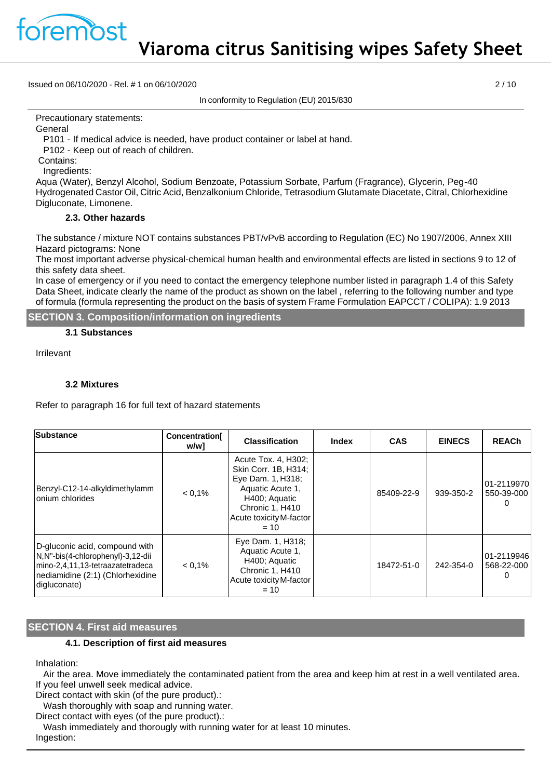

Issued on 06/10/2020 - Rel. # 1 on 06/10/2020 2 / 10

In conformity to Regulation (EU) 2015/830

Precautionary statements:

**General** 

P101 - If medical advice is needed, have product container or label at hand.

P102 - Keep out of reach of children.

Contains:

Ingredients:

Aqua (Water), Benzyl Alcohol, Sodium Benzoate, Potassium Sorbate, Parfum (Fragrance), Glycerin, Peg-40 Hydrogenated Castor Oil, Citric Acid, Benzalkonium Chloride, Tetrasodium Glutamate Diacetate, Citral, Chlorhexidine Digluconate, Limonene.

### **2.3. Other hazards**

The substance / mixture NOT contains substances PBT/vPvB according to Regulation (EC) No 1907/2006, Annex XIII Hazard pictograms: None

The most important adverse physical-chemical human health and environmental effects are listed in sections 9 to 12 of this safety data sheet.

In case of emergency or if you need to contact the emergency telephone number listed in paragraph 1.4 of this Safety Data Sheet, indicate clearly the name of the product as shown on the label , referring to the following number and type of formula (formula representing the product on the basis of system Frame Formulation EAPCCT / COLIPA): 1.9 2013

**SECTION 3. Composition/information on ingredients**

#### **3.1 Substances**

Irrilevant

### **3.2 Mixtures**

Refer to paragraph 16 for full text of hazard statements

| <b>Substance</b>                                                                                                                                            | <b>Concentration</b><br>w/w1 | <b>Classification</b>                                                                                                                                         | <b>Index</b> | <b>CAS</b> | <b>EINECS</b> | <b>REACh</b>             |
|-------------------------------------------------------------------------------------------------------------------------------------------------------------|------------------------------|---------------------------------------------------------------------------------------------------------------------------------------------------------------|--------------|------------|---------------|--------------------------|
| Benzyl-C12-14-alkyldimethylamm<br>Ionium chlorides                                                                                                          | $< 0.1\%$                    | Acute Tox. 4, H302;<br>Skin Corr. 1B, H314;<br>Eye Dam. 1, H318;<br>Aquatic Acute 1,<br>H400; Aquatic<br>Chronic 1, H410<br>Acute toxicity M-factor<br>$= 10$ |              | 85409-22-9 | 939-350-2     | 01-2119970<br>550-39-000 |
| D-gluconic acid, compound with<br>N,N"-bis(4-chlorophenyl)-3,12-dii<br>mino-2,4,11,13-tetraazatetradeca<br>nediamidine (2:1) (Chlorhexidine<br>digluconate) | $< 0.1\%$                    | Eye Dam. 1, H318;<br>Aquatic Acute 1,<br>H400; Aquatic<br>Chronic 1, H410<br>Acute toxicity M-factor<br>$= 10$                                                |              | 18472-51-0 | 242-354-0     | 01-2119946<br>568-22-000 |

## **SECTION 4. First aid measures**

#### **4.1. Description of first aid measures**

Inhalation:

Air the area. Move immediately the contaminated patient from the area and keep him at rest in a well ventilated area. If you feel unwell seek medical advice.

Direct contact with skin (of the pure product).:

Wash thoroughly with soap and running water.

Direct contact with eyes (of the pure product).:

Wash immediately and thorougly with running water for at least 10 minutes.

Ingestion: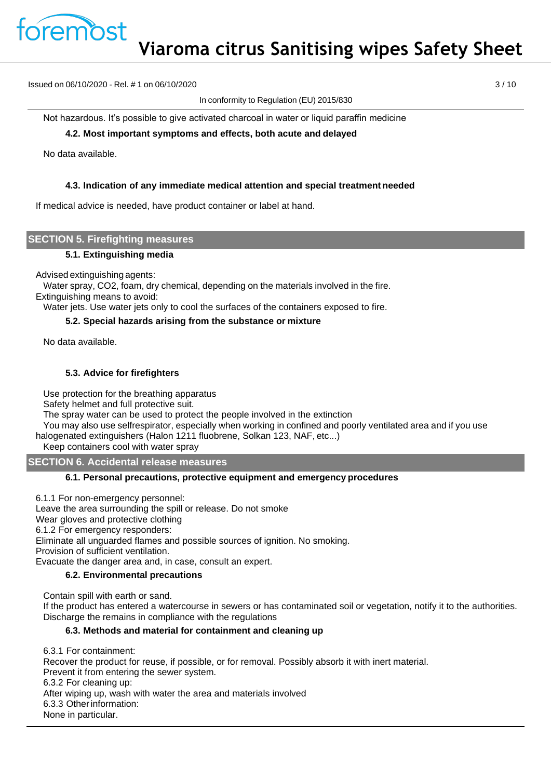

Issued on 06/10/2020 - Rel. # 1 on 06/10/2020 3 / 10

In conformity to Regulation (EU) 2015/830

Not hazardous. It's possible to give activated charcoal in water or liquid paraffin medicine

### **4.2. Most important symptoms and effects, both acute and delayed**

No data available.

### **4.3. Indication of any immediate medical attention and special treatment needed**

If medical advice is needed, have product container or label at hand.

### **SECTION 5. Firefighting measures**

#### **5.1. Extinguishing media**

Advised extinguishing agents:

Water spray, CO2, foam, dry chemical, depending on the materials involved in the fire.

Extinguishing means to avoid:

Water jets. Use water jets only to cool the surfaces of the containers exposed to fire.

### **5.2. Special hazards arising from the substance or mixture**

No data available.

## **5.3. Advice for firefighters**

Use protection for the breathing apparatus

Safety helmet and full protective suit.

The spray water can be used to protect the people involved in the extinction

You may also use selfrespirator, especially when working in confined and poorly ventilated area and if you use halogenated extinguishers (Halon 1211 fluobrene, Solkan 123, NAF, etc...)

Keep containers cool with water spray

**SECTION 6. Accidental release measures**

## **6.1. Personal precautions, protective equipment and emergency procedures**

6.1.1 For non-emergency personnel: Leave the area surrounding the spill or release. Do not smoke Wear gloves and protective clothing 6.1.2 For emergency responders: Eliminate all unguarded flames and possible sources of ignition. No smoking. Provision of sufficient ventilation. Evacuate the danger area and, in case, consult an expert.

#### **6.2. Environmental precautions**

Contain spill with earth or sand.

If the product has entered a watercourse in sewers or has contaminated soil or vegetation, notify it to the authorities. Discharge the remains in compliance with the regulations

## **6.3. Methods and material for containment and cleaning up**

6.3.1 For containment: Recover the product for reuse, if possible, or for removal. Possibly absorb it with inert material. Prevent it from entering the sewer system. 6.3.2 For cleaning up: After wiping up, wash with water the area and materials involved 6.3.3 Otherinformation: None in particular.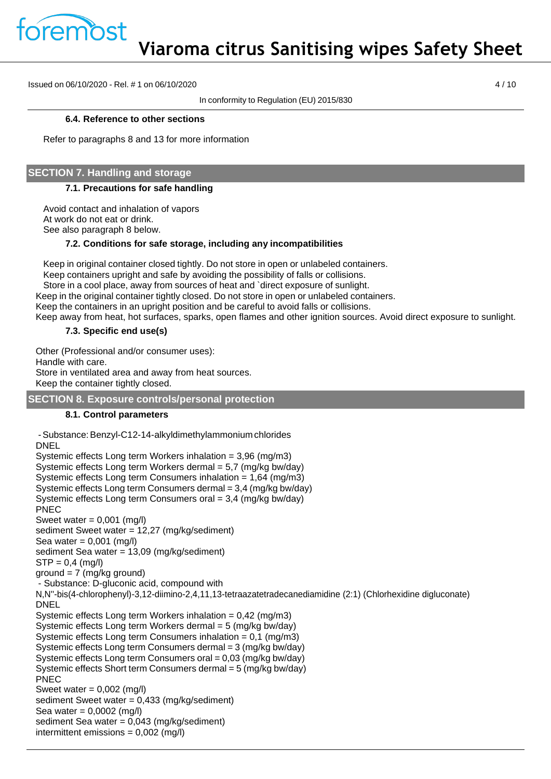

Issued on 06/10/2020 - Rel. # 1 on 06/10/2020 4 / 10

In conformity to Regulation (EU) 2015/830

#### **6.4. Reference to other sections**

Refer to paragraphs 8 and 13 for more information

# **SECTION 7. Handling and storage**

### **7.1. Precautions for safe handling**

Avoid contact and inhalation of vapors At work do not eat or drink. See also paragraph 8 below.

### **7.2. Conditions for safe storage, including any incompatibilities**

Keep in original container closed tightly. Do not store in open or unlabeled containers. Keep containers upright and safe by avoiding the possibility of falls or collisions. Store in a cool place, away from sources of heat and `direct exposure of sunlight. Keep in the original container tightly closed. Do not store in open or unlabeled containers. Keep the containers in an upright position and be careful to avoid falls or collisions. Keep away from heat, hot surfaces, sparks, open flames and other ignition sources. Avoid direct exposure to sunlight.

### **7.3. Specific end use(s)**

Other (Professional and/or consumer uses): Handle with care. Store in ventilated area and away from heat sources. Keep the container tightly closed.

## **SECTION 8. Exposure controls/personal protection**

## **8.1. Control parameters**

```
-Substance:Benzyl-C12-14-alkyldimethylammoniumchlorides
DNEL
Systemic effects Long term Workers inhalation = 3,96 (mg/m3)
Systemic effects Long term Workers dermal = 5,7 (mg/kg bw/day)
Systemic effects Long term Consumers inhalation = 1,64 (mg/m3)
Systemic effects Long term Consumers dermal = 3,4 (mg/kg bw/day)
Systemic effects Long term Consumers oral = 3.4 \text{ (mg/kg)}PNEC
Sweet water = 0,001 (mg/l)
sediment Sweet water = 12,27 (mg/kg/sediment)
Sea water = 0,001 (mg/l)
sediment Sea water = 13,09 (mg/kg/sediment)
STP = 0.4 (mg/l)
ground = 7 (mg/kg ground)- Substance: D-gluconic acid, compound with
N,N''-bis(4-chlorophenyl)-3,12-diimino-2,4,11,13-tetraazatetradecanediamidine (2:1) (Chlorhexidine digluconate)
DNEL
Systemic effects Long term Workers inhalation = 0,42 (mg/m3)
Systemic effects Long term Workers dermal = 5 (mg/kg bw/day)
Systemic effects Long term Consumers inhalation = 0,1 (mg/m3)
Systemic effects Long term Consumers dermal = 3 (mg/kg bw/day)
Systemic effects Long term Consumers oral = 0,03 (mg/kg bw/day)
Systemic effects Short term Consumers dermal = 5 (mg/kg bw/day)
PNEC
Sweet water = 0,002 (mg/l)
sediment Sweet water = 0,433 (mg/kg/sediment)
Sea water = 0,0002 (mg/l)
sediment Sea water = 0,043 (mg/kg/sediment)
intermittent emissions = 0,002 (mg/l)
```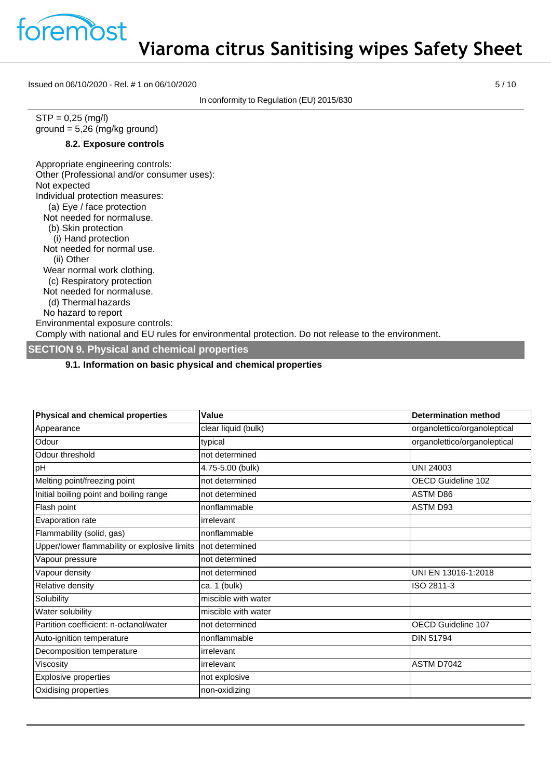

Issued on 06/10/2020 - Rel. # 1 on 06/10/2020 5 / 10

In conformity to Regulation (EU) 2015/830

 $STP = 0,25$  (mg/l) ground = 5,26 (mg/kg ground)

### **8.2. Exposure controls**

Appropriate engineering controls: Other (Professional and/or consumer uses): Not expected Individual protection measures: (a) Eye / face protection Not needed for normaluse. (b) Skin protection (i) Hand protection Not needed for normal use. (ii) Other Wear normal work clothing. (c) Respiratory protection Not needed for normaluse. (d) Thermal hazards No hazard to report Environmental exposure controls: Comply with national and EU rules for environmental protection. Do not release to the environment.

### **SECTION 9. Physical and chemical properties**

### **9.1. Information on basic physical and chemical properties**

| Physical and chemical properties             | Value               | <b>Determination method</b>  |
|----------------------------------------------|---------------------|------------------------------|
| Appearance                                   | clear liquid (bulk) | organolettico/organoleptical |
| Odour                                        | typical             | organolettico/organoleptical |
| Odour threshold                              | not determined      |                              |
| pH                                           | 4.75-5.00 (bulk)    | <b>UNI 24003</b>             |
| Melting point/freezing point                 | not determined      | OECD Guideline 102           |
| Initial boiling point and boiling range      | not determined      | <b>ASTM D86</b>              |
| Flash point                                  | nonflammable        | ASTM D93                     |
| Evaporation rate                             | irrelevant          |                              |
| Flammability (solid, gas)                    | nonflammable        |                              |
| Upper/lower flammability or explosive limits | not determined      |                              |
| Vapour pressure                              | not determined      |                              |
| Vapour density                               | not determined      | UNI EN 13016-1:2018          |
| Relative density                             | ca. 1 (bulk)        | ISO 2811-3                   |
| Solubility                                   | miscible with water |                              |
| Water solubility                             | miscible with water |                              |
| Partition coefficient: n-octanol/water       | not determined      | <b>OECD Guideline 107</b>    |
| Auto-ignition temperature                    | nonflammable        | <b>DIN 51794</b>             |
| Decomposition temperature                    | irrelevant          |                              |
| Viscosity                                    | irrelevant          | ASTM D7042                   |
| <b>Explosive properties</b>                  | not explosive       |                              |
| Oxidising properties                         | non-oxidizing       |                              |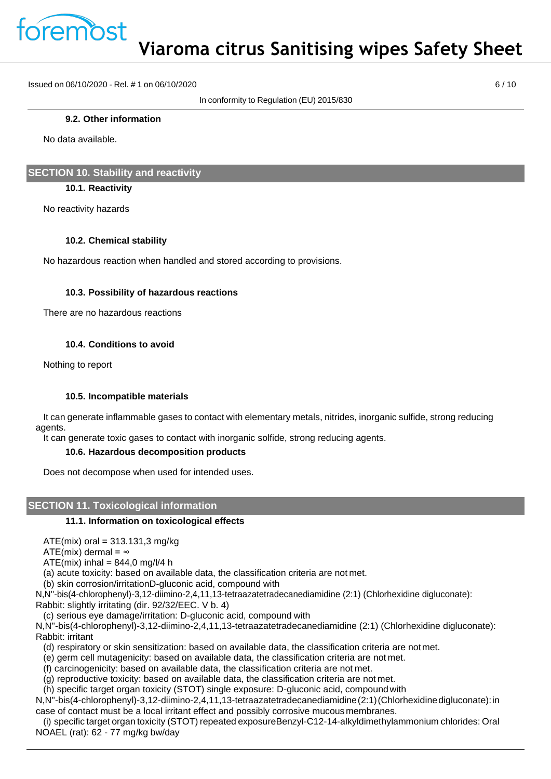

Issued on 06/10/2020 - Rel. # 1 on 06/10/2020 6 / 10

In conformity to Regulation (EU) 2015/830

### **9.2. Other information**

No data available.

# **SECTION 10. Stability and reactivity**

## **10.1. Reactivity**

No reactivity hazards

## **10.2. Chemical stability**

No hazardous reaction when handled and stored according to provisions.

## **10.3. Possibility of hazardous reactions**

There are no hazardous reactions

## **10.4. Conditions to avoid**

Nothing to report

## **10.5. Incompatible materials**

It can generate inflammable gases to contact with elementary metals, nitrides, inorganic sulfide, strong reducing agents.

It can generate toxic gases to contact with inorganic solfide, strong reducing agents.

## **10.6. Hazardous decomposition products**

Does not decompose when used for intended uses.

# **SECTION 11. Toxicological information**

## **11.1. Information on toxicological effects**

 $ATE(mix)$  oral = 313.131,3 mg/kg

ATE(mix) dermal =  $\infty$ 

 $ATE(min)$  inhal = 844,0 mg/l/4 h

(a) acute toxicity: based on available data, the classification criteria are not met.

(b) skin corrosion/irritationD-gluconic acid, compound with

N,N''-bis(4-chlorophenyl)-3,12-diimino-2,4,11,13-tetraazatetradecanediamidine (2:1) (Chlorhexidine digluconate): Rabbit: slightly irritating (dir. 92/32/EEC. V b. 4)

(c) serious eye damage/irritation: D-gluconic acid, compound with

N,N''-bis(4-chlorophenyl)-3,12-diimino-2,4,11,13-tetraazatetradecanediamidine (2:1) (Chlorhexidine digluconate): Rabbit: irritant

(d) respiratory or skin sensitization: based on available data, the classification criteria are notmet.

(e) germ cell mutagenicity: based on available data, the classification criteria are not met.

(f) carcinogenicity: based on available data, the classification criteria are not met.

(g) reproductive toxicity: based on available data, the classification criteria are not met.

(h) specific target organ toxicity (STOT) single exposure: D-gluconic acid, compound with

N,N''-bis(4-chlorophenyl)-3,12-diimino-2,4,11,13-tetraazatetradecanediamidine(2:1)(Chlorhexidinedigluconate):in case of contact must be a local irritant effect and possibly corrosive mucous membranes.

(i) specific target organ toxicity (STOT) repeated exposureBenzyl-C12-14-alkyldimethylammonium chlorides: Oral NOAEL (rat): 62 - 77 mg/kg bw/day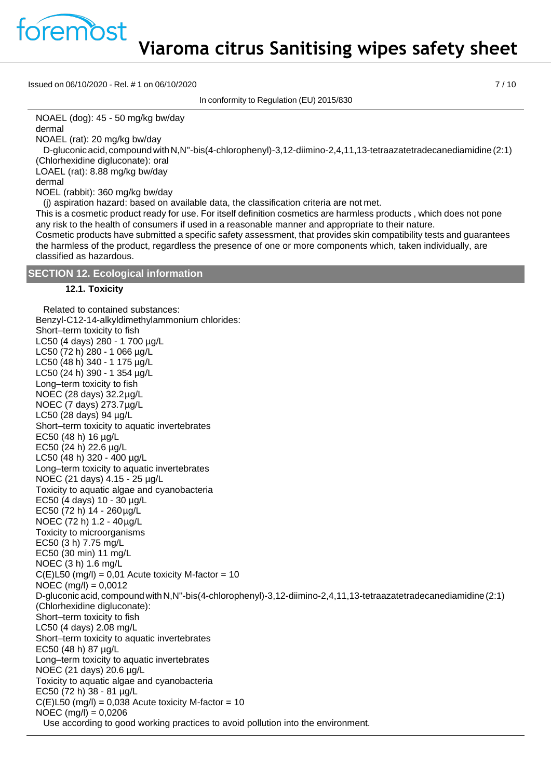premost

**Viaroma citrus Sanitising wipes safety sheet**

Issued on 06/10/2020 - Rel. # 1 on 06/10/2020 7 / 10

In conformity to Regulation (EU) 2015/830

NOAEL (dog): 45 - 50 mg/kg bw/day dermal

NOAEL (rat): 20 mg/kg bw/day

D-gluconicacid, compoundwithN,N''-bis(4-chlorophenyl)-3,12-diimino-2,4,11,13-tetraazatetradecanediamidine(2:1) (Chlorhexidine digluconate): oral

LOAEL (rat): 8.88 mg/kg bw/day

dermal

NOEL (rabbit): 360 mg/kg bw/day

(j) aspiration hazard: based on available data, the classification criteria are not met.

This is a cosmetic product ready for use. For itself definition cosmetics are harmless products , which does not pone any risk to the health of consumers if used in a reasonable manner and appropriate to their nature.

Cosmetic products have submitted a specific safety assessment, that provides skin compatibility tests and guarantees the harmless of the product, regardless the presence of one or more components which, taken individually, are classified as hazardous.

## **SECTION 12. Ecological information**

### **12.1. Toxicity**

Related to contained substances: Benzyl-C12-14-alkyldimethylammonium chlorides: Short–term toxicity to fish LC50 (4 days) 280 - 1 700 µg/L LC50 (72 h) 280 - 1 066 µg/L LC50 (48 h) 340 - 1 175 µg/L LC50 (24 h) 390 - 1 354 µg/L Long–term toxicity to fish NOEC (28 days) 32.2µg/L NOEC (7 days) 273.7µg/L LC50 (28 days) 94 µg/L Short–term toxicity to aquatic invertebrates EC50 (48 h) 16 µg/L EC50 (24 h) 22.6 µg/L LC50 (48 h) 320 - 400 µg/L Long–term toxicity to aquatic invertebrates NOEC (21 days) 4.15 - 25 µg/L Toxicity to aquatic algae and cyanobacteria EC50 (4 days) 10 - 30 µg/L EC50 (72 h)  $14 - 260 \mu g/L$ NOEC (72 h) 1.2 - 40µg/L Toxicity to microorganisms EC50 (3 h) 7.75 mg/L EC50 (30 min) 11 mg/L NOEC (3 h) 1.6 mg/L  $C(E)$ L50 (mg/l) = 0,01 Acute toxicity M-factor = 10  $NOEC (mg/l) = 0,0012$ D-gluconic acid, compound withN,N''-bis(4-chlorophenyl)-3,12-diimino-2,4,11,13-tetraazatetradecanediamidine(2:1) (Chlorhexidine digluconate): Short–term toxicity to fish LC50 (4 days) 2.08 mg/L Short–term toxicity to aquatic invertebrates EC50 (48 h) 87 µg/L Long–term toxicity to aquatic invertebrates NOEC (21 days) 20.6 µg/L Toxicity to aquatic algae and cyanobacteria EC50 (72 h) 38 - 81 µg/L  $C(E)$ L50 (mg/l) = 0,038 Acute toxicity M-factor = 10  $NOEC (mg/l) = 0,0206$ Use according to good working practices to avoid pollution into the environment.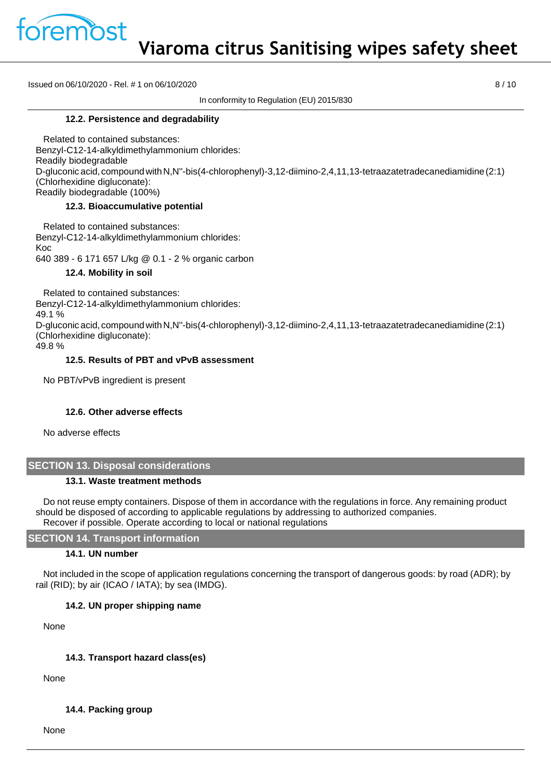

Issued on 06/10/2020 - Rel. # 1 on 06/10/2020 8 / 10

In conformity to Regulation (EU) 2015/830

#### **12.2. Persistence and degradability**

Related to contained substances: Benzyl-C12-14-alkyldimethylammonium chlorides: Readily biodegradable D-gluconic acid, compound withN,N''-bis(4-chlorophenyl)-3,12-diimino-2,4,11,13-tetraazatetradecanediamidine(2:1) (Chlorhexidine digluconate): Readily biodegradable (100%)

#### **12.3. Bioaccumulative potential**

Related to contained substances: Benzyl-C12-14-alkyldimethylammonium chlorides: Koc 640 389 - 6 171 657 L/kg @ 0.1 - 2 % organic carbon

#### **12.4. Mobility in soil**

Related to contained substances: Benzyl-C12-14-alkyldimethylammonium chlorides: 49.1 % D-gluconic acid, compound withN,N''-bis(4-chlorophenyl)-3,12-diimino-2,4,11,13-tetraazatetradecanediamidine(2:1) (Chlorhexidine digluconate): 49.8 %

#### **12.5. Results of PBT and vPvB assessment**

No PBT/vPvB ingredient is present

#### **12.6. Other adverse effects**

No adverse effects

## **SECTION 13. Disposal considerations**

#### **13.1. Waste treatment methods**

Do not reuse empty containers. Dispose of them in accordance with the regulations in force. Any remaining product should be disposed of according to applicable regulations by addressing to authorized companies. Recover if possible. Operate according to local or national regulations

#### **SECTION 14. Transport information**

#### **14.1. UN number**

Not included in the scope of application regulations concerning the transport of dangerous goods: by road (ADR); by rail (RID); by air (ICAO / IATA); by sea (IMDG).

## **14.2. UN proper shipping name**

None

## **14.3. Transport hazard class(es)**

None

## **14.4. Packing group**

None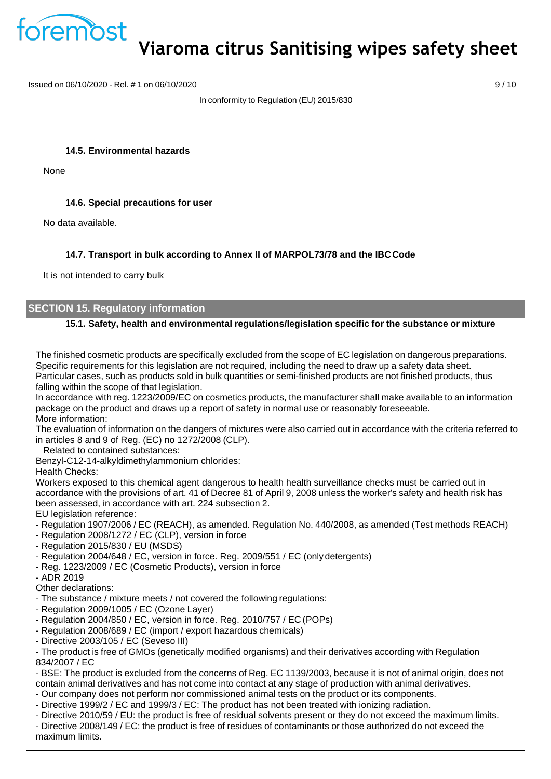

Issued on 06/10/2020 - Rel. # 1 on 06/10/2020 9 / 10

In conformity to Regulation (EU) 2015/830

#### **14.5. Environmental hazards**

None

#### **14.6. Special precautions for user**

No data available.

### **14.7. Transport in bulk according to Annex II of MARPOL73/78 and the IBCCode**

It is not intended to carry bulk

#### **SECTION 15. Regulatory information**

### **15.1. Safety, health and environmental regulations/legislation specific for the substance or mixture**

The finished cosmetic products are specifically excluded from the scope of EC legislation on dangerous preparations. Specific requirements for this legislation are not required, including the need to draw up a safety data sheet. Particular cases, such as products sold in bulk quantities or semi-finished products are not finished products, thus falling within the scope of that legislation.

In accordance with reg. 1223/2009/EC on cosmetics products, the manufacturer shall make available to an information package on the product and draws up a report of safety in normal use or reasonably foreseeable. More information:

The evaluation of information on the dangers of mixtures were also carried out in accordance with the criteria referred to in articles 8 and 9 of Reg. (EC) no 1272/2008 (CLP).

Related to contained substances:

Benzyl-C12-14-alkyldimethylammonium chlorides:

Health Checks:

Workers exposed to this chemical agent dangerous to health health surveillance checks must be carried out in accordance with the provisions of art. 41 of Decree 81 of April 9, 2008 unless the worker's safety and health risk has been assessed, in accordance with art. 224 subsection 2.

EU legislation reference:

- Regulation 1907/2006 / EC (REACH), as amended. Regulation No. 440/2008, as amended (Test methods REACH)
- Regulation 2008/1272 / EC (CLP), version in force
- Regulation 2015/830 / EU (MSDS)
- Regulation 2004/648 / EC, version in force. Reg. 2009/551 / EC (only detergents)
- Reg. 1223/2009 / EC (Cosmetic Products), version in force
- ADR 2019

Other declarations:

- The substance / mixture meets / not covered the following regulations:
- Regulation 2009/1005 / EC (Ozone Layer)
- Regulation 2004/850 / EC, version in force. Reg. 2010/757 / EC (POPs)
- Regulation 2008/689 / EC (import / export hazardous chemicals)
- Directive 2003/105 / EC (Seveso III)

- The product is free of GMOs (genetically modified organisms) and their derivatives according with Regulation 834/2007 / EC

- BSE: The product is excluded from the concerns of Reg. EC 1139/2003, because it is not of animal origin, does not contain animal derivatives and has not come into contact at any stage of production with animal derivatives.

- Our company does not perform nor commissioned animal tests on the product or its components.

- Directive 1999/2 / EC and 1999/3 / EC: The product has not been treated with ionizing radiation.

- Directive 2010/59 / EU: the product is free of residual solvents present or they do not exceed the maximum limits.
- Directive 2008/149 / EC: the product is free of residues of contaminants or those authorized do not exceed the maximum limits.